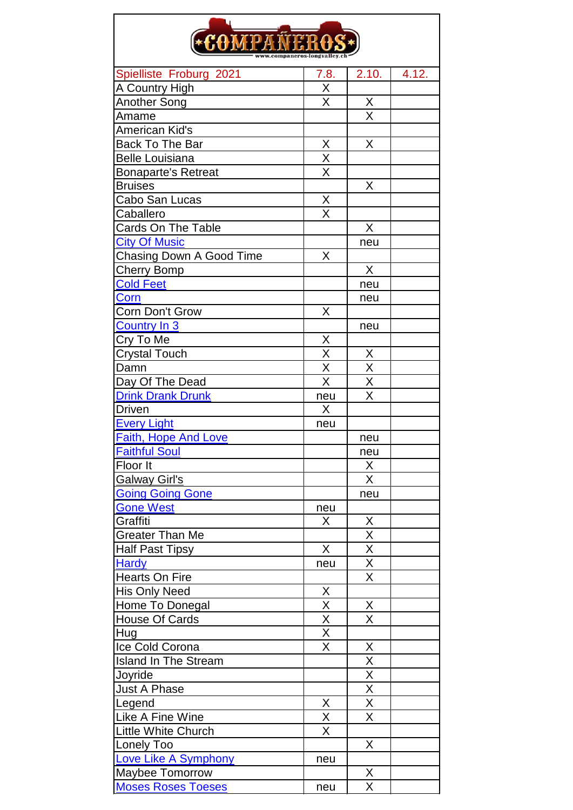| *COMPAÑER                   |                                     |                                     |  |  |  |
|-----------------------------|-------------------------------------|-------------------------------------|--|--|--|
|                             |                                     |                                     |  |  |  |
| <b>A Country High</b>       | Χ                                   |                                     |  |  |  |
| Another Song                | X                                   | Χ                                   |  |  |  |
| Amame                       |                                     | $\overline{\mathsf{X}}$             |  |  |  |
| American Kid's              |                                     |                                     |  |  |  |
| <b>Back To The Bar</b>      | X                                   | X                                   |  |  |  |
| <b>Belle Louisiana</b>      |                                     |                                     |  |  |  |
| <b>Bonaparte's Retreat</b>  | $\frac{\overline{X}}{\overline{X}}$ |                                     |  |  |  |
| <b>Bruises</b>              |                                     | X                                   |  |  |  |
| Cabo San Lucas              | X                                   |                                     |  |  |  |
| Caballero                   | $\overline{\sf x}$                  |                                     |  |  |  |
| Cards On The Table          |                                     | X                                   |  |  |  |
| <b>City Of Music</b>        |                                     | neu                                 |  |  |  |
|                             |                                     |                                     |  |  |  |
| Chasing Down A Good Time    | X                                   | $\sf X$                             |  |  |  |
| <b>Cherry Bomp</b>          |                                     |                                     |  |  |  |
| <b>Cold Feet</b>            |                                     | neu                                 |  |  |  |
| Corn                        |                                     | neu                                 |  |  |  |
| Corn Don't Grow             | X                                   |                                     |  |  |  |
| <b>Country In 3</b>         |                                     | neu                                 |  |  |  |
| Cry To Me                   | $\frac{X}{X}$                       |                                     |  |  |  |
| <b>Crystal Touch</b>        |                                     | X                                   |  |  |  |
| Damn                        | $\overline{\mathsf{x}}$             | $\overline{\mathsf{x}}$             |  |  |  |
| Day Of The Dead             | $\overline{\sf x}$                  | $\overline{\mathsf{x}}$             |  |  |  |
| <b>Drink Drank Drunk</b>    | neu                                 | X                                   |  |  |  |
| <b>Driven</b>               | X                                   |                                     |  |  |  |
| <b>Every Light</b>          | neu                                 |                                     |  |  |  |
| Faith, Hope And Love        |                                     | neu                                 |  |  |  |
| <b>Faithful Soul</b>        |                                     | neu                                 |  |  |  |
| Floor It                    |                                     | X                                   |  |  |  |
| <b>Galway Girl's</b>        |                                     | X                                   |  |  |  |
| <b>Going Going Gone</b>     |                                     | neu                                 |  |  |  |
| <b>Gone West</b>            | neu                                 |                                     |  |  |  |
| Graffiti                    | X                                   | $\frac{\mathsf{X}}{\mathsf{X}}$     |  |  |  |
| <b>Greater Than Me</b>      |                                     |                                     |  |  |  |
| <b>Half Past Tipsy</b>      | X                                   | $\frac{\overline{X}}{\overline{X}}$ |  |  |  |
| <b>Hardy</b>                | neu                                 |                                     |  |  |  |
| <b>Hearts On Fire</b>       |                                     |                                     |  |  |  |
| His Only Need               | X                                   |                                     |  |  |  |
| Home To Donegal             | $\frac{X}{X}$                       | <u>X</u>                            |  |  |  |
| House Of Cards              |                                     | $\overline{\mathsf{X}}$             |  |  |  |
| Hug                         |                                     |                                     |  |  |  |
| Ice Cold Corona             | $\overline{\sf x}$                  | Χ                                   |  |  |  |
| <b>Island In The Stream</b> |                                     | $\overline{\mathsf{X}}$             |  |  |  |
| Joyride                     |                                     |                                     |  |  |  |
| <b>Just A Phase</b>         |                                     | $\frac{X}{X}$                       |  |  |  |
| Legend                      |                                     | $\frac{\overline{X}}{\overline{X}}$ |  |  |  |
| Like A Fine Wine            | $\frac{\overline{X}}{\overline{X}}$ |                                     |  |  |  |
| <b>Little White Church</b>  | X                                   |                                     |  |  |  |
| Lonely Too                  |                                     | X                                   |  |  |  |
| Love Like A Symphony        | neu                                 |                                     |  |  |  |
| <b>Maybee Tomorrow</b>      |                                     | X                                   |  |  |  |
| <b>Moses Roses Toeses</b>   | neu                                 | $\overline{\mathsf{X}}$             |  |  |  |